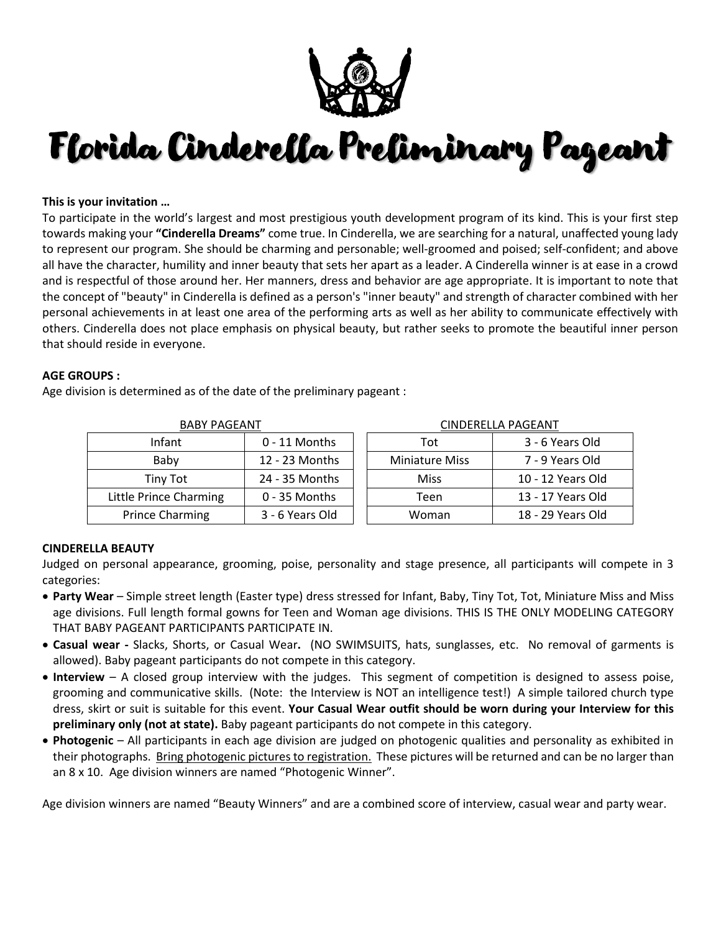

# Florida Cinderella Preliminary Pageant

## **This is your invitation …**

To participate in the world's largest and most prestigious youth development program of its kind. This is your first step towards making your **"Cinderella Dreams"** come true. In Cinderella, we are searching for a natural, unaffected young lady to represent our program. She should be charming and personable; well-groomed and poised; self-confident; and above all have the character, humility and inner beauty that sets her apart as a leader. A Cinderella winner is at ease in a crowd and is respectful of those around her. Her manners, dress and behavior are age appropriate. It is important to note that the concept of "beauty" in Cinderella is defined as a person's "inner beauty" and strength of character combined with her personal achievements in at least one area of the performing arts as well as her ability to communicate effectively with others. Cinderella does not place emphasis on physical beauty, but rather seeks to promote the beautiful inner person that should reside in everyone.

#### **AGE GROUPS :**

Age division is determined as of the date of the preliminary pageant :

| <b>BABY PAGEANT</b>    |                 | <b>CINDERELLA PAGEANT</b> |                   |  |
|------------------------|-----------------|---------------------------|-------------------|--|
| Infant                 | $0 - 11$ Months | Tot                       | 3 - 6 Years Old   |  |
| Baby                   | 12 - 23 Months  | <b>Miniature Miss</b>     | 7 - 9 Years Old   |  |
| Tiny Tot               | 24 - 35 Months  | Miss                      | 10 - 12 Years Old |  |
| Little Prince Charming | $0 - 35$ Months | Teen                      | 13 - 17 Years Old |  |
| <b>Prince Charming</b> | 3 - 6 Years Old | Woman                     | 18 - 29 Years Old |  |

## **CINDERELLA BEAUTY**

Judged on personal appearance, grooming, poise, personality and stage presence, all participants will compete in 3 categories:

- **Party Wear** Simple street length (Easter type) dress stressed for Infant, Baby, Tiny Tot, Tot, Miniature Miss and Miss age divisions. Full length formal gowns for Teen and Woman age divisions. THIS IS THE ONLY MODELING CATEGORY THAT BABY PAGEANT PARTICIPANTS PARTICIPATE IN.
- **Casual wear -** Slacks, Shorts, or Casual Wear**.** (NO SWIMSUITS, hats, sunglasses, etc. No removal of garments is allowed). Baby pageant participants do not compete in this category.
- **Interview** A closed group interview with the judges. This segment of competition is designed to assess poise, grooming and communicative skills. (Note: the Interview is NOT an intelligence test!) A simple tailored church type dress, skirt or suit is suitable for this event. **Your Casual Wear outfit should be worn during your Interview for this preliminary only (not at state).** Baby pageant participants do not compete in this category.
- **Photogenic** All participants in each age division are judged on photogenic qualities and personality as exhibited in their photographs. Bring photogenic pictures to registration. These pictures will be returned and can be no larger than an 8 x 10. Age division winners are named "Photogenic Winner".

Age division winners are named "Beauty Winners" and are a combined score of interview, casual wear and party wear.